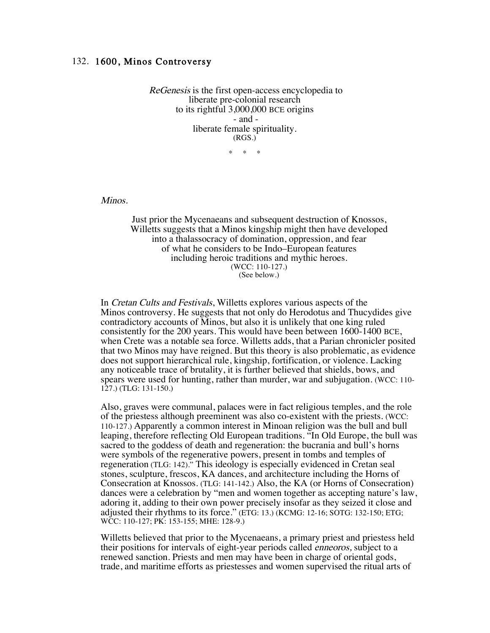## 132. 1600, Minos Controversy

ReGenesis is the first open-access encyclopedia to liberate pre-colonial research to its rightful 3,000,000 BCE origins - and liberate female spirituality. (RGS.)

 $*$  \*

Minos.

Just prior the Mycenaeans and subsequent destruction of Knossos, Willetts suggests that a Minos kingship might then have developed into a thalassocracy of domination, oppression, and fear of what he considers to be Indo–European features including heroic traditions and mythic heroes. (WCC: 110-127.) (See below.)

In Cretan Cults and Festivals, Willetts explores various aspects of the Minos controversy. He suggests that not only do Herodotus and Thucydides give contradictory accounts of Minos, but also it is unlikely that one king ruled consistently for the 200 years. This would have been between 1600-1400 BCE, when Crete was a notable sea force. Willetts adds, that a Parian chronicler posited that two Minos may have reigned. But this theory is also problematic, as evidence does not support hierarchical rule, kingship, fortification, or violence. Lacking any noticeable trace of brutality, it is further believed that shields, bows, and spears were used for hunting, rather than murder, war and subjugation. (WCC: 110- 127.) (TLG: 131-150.)

Also, graves were communal, palaces were in fact religious temples, and the role of the priestess although preeminent was also co-existent with the priests. (WCC: 110-127.) Apparently a common interest in Minoan religion was the bull and bull leaping, therefore reflecting Old European traditions. "In Old Europe, the bull was sacred to the goddess of death and regeneration: the bucrania and bull's horns were symbols of the regenerative powers, present in tombs and temples of regeneration (TLG: 142)." This ideology is especially evidenced in Cretan seal stones, sculpture, frescos, KA dances, and architecture including the Horns of Consecration at Knossos. (TLG: 141-142.) Also, the KA (or Horns of Consecration) dances were a celebration by "men and women together as accepting nature's law, adoring it, adding to their own power precisely insofar as they seized it close and adjusted their rhythms to its force." (ETG: 13.) (KCMG: 12-16; SOTG: 132-150; ETG; WCC: 110-127; PK: 153-155; MHE: 128-9.)

Willetts believed that prior to the Mycenaeans, a primary priest and priestess held their positions for intervals of eight-year periods called enneoros, subject to a renewed sanction. Priests and men may have been in charge of oriental gods, trade, and maritime efforts as priestesses and women supervised the ritual arts of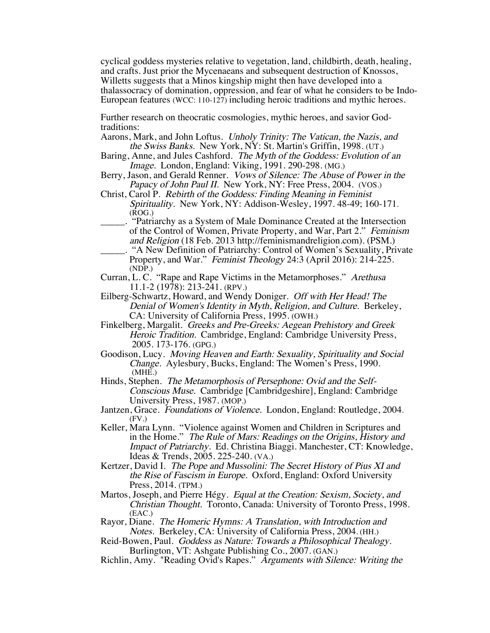cyclical goddess mysteries relative to vegetation, land, childbirth, death, healing, and crafts. Just prior the Mycenaeans and subsequent destruction of Knossos, Willetts suggests that a Minos kingship might then have developed into a thalassocracy of domination, oppression, and fear of what he considers to be Indo-European features (WCC: 110-127) including heroic traditions and mythic heroes.

Further research on theocratic cosmologies, mythic heroes, and savior Godtraditions:

- Aarons, Mark, and John Loftus. Unholy Trinity: The Vatican, the Nazis, and the Swiss Banks. New York, NY: St. Martin's Griffin, 1998. (UT.)
- Baring, Anne, and Jules Cashford. The Myth of the Goddess: Evolution of an Image. London, England: Viking, 1991. 290-298. (MG.)
- Berry, Jason, and Gerald Renner. Vows of Silence: The Abuse of Power in the Papacy of John Paul II. New York, NY: Free Press, 2004. (VOS.)
- Christ, Carol P. Rebirth of the Goddess: Finding Meaning in Feminist Spirituality. New York, NY: Addison-Wesley, 1997. 48-49; 160-171. (ROG.)
- \_\_\_\_\_. "Patriarchy as a System of Male Dominance Created at the Intersection of the Control of Women, Private Property, and War, Part 2." Feminism and Religion (18 Feb. 2013 http://feminismandreligion.com). (PSM.)
- \_\_\_\_\_. "A New Definition of Patriarchy: Control of Women's Sexuality, Private Property, and War." *Feminist Theology* 24:3 (April 2016): 214-225. (NDP.)
- Curran, L. C. "Rape and Rape Victims in the Metamorphoses." Arethusa 11.1-2 (1978): 213-241. (RPV.)
- Eilberg-Schwartz, Howard, and Wendy Doniger. Off with Her Head! The Denial of Women's Identity in Myth, Religion, and Culture. Berkeley, CA: University of California Press, 1995. (OWH.)
- Finkelberg, Margalit. Greeks and Pre-Greeks: Aegean Prehistory and Greek Heroic Tradition. Cambridge, England: Cambridge University Press, 2005. 173-176. (GPG.)
- Goodison, Lucy. Moving Heaven and Earth: Sexuality, Spirituality and Social Change. Aylesbury, Bucks, England: The Women's Press, 1990. (MHE.)
- Hinds, Stephen. The Metamorphosis of Persephone: Ovid and the Self-Conscious Muse. Cambridge [Cambridgeshire], England: Cambridge University Press, 1987. (MOP.)
- Jantzen, Grace. Foundations of Violence. London, England: Routledge, 2004. (FV.)
- Keller, Mara Lynn. "Violence against Women and Children in Scriptures and in the Home." The Rule of Mars: Readings on the Origins, History and Impact of Patriarchy. Ed. Christina Biaggi. Manchester, CT: Knowledge, Ideas & Trends, 2005. 225-240. (VA.)
- Kertzer, David I. The Pope and Mussolini: The Secret History of Pius XI and the Rise of Fascism in Europe. Oxford, England: Oxford University Press, 2014. (TPM.)
- Martos, Joseph, and Pierre Hégy. Equal at the Creation: Sexism, Society, and Christian Thought. Toronto, Canada: University of Toronto Press, 1998. (EAC.)
- Rayor, Diane. The Homeric Hymns: A Translation, with Introduction and Notes. Berkeley, CA: University of California Press, 2004. (HH.)
- Reid-Bowen, Paul. Goddess as Nature: Towards a Philosophical Thealogy. Burlington, VT: Ashgate Publishing Co., 2007. (GAN.)
- Richlin, Amy. "Reading Ovid's Rapes." Arguments with Silence: Writing the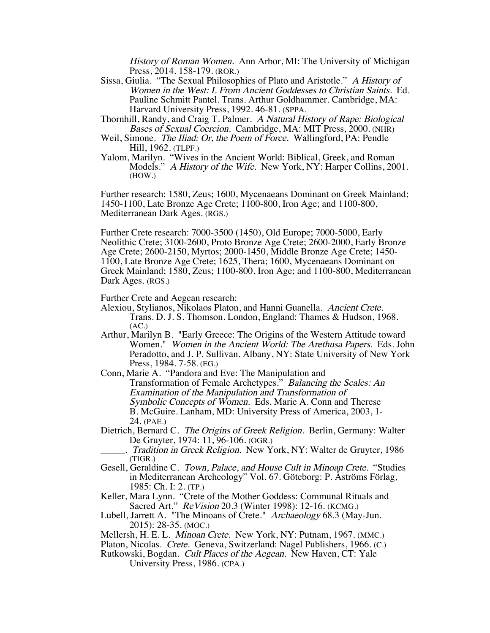History of Roman Women. Ann Arbor, MI: The University of Michigan Press, 2014. 158-179. (ROR.)

- Sissa, Giulia. "The Sexual Philosophies of Plato and Aristotle." A History of Women in the West: I. From Ancient Goddesses to Christian Saints. Ed. Pauline Schmitt Pantel. Trans. Arthur Goldhammer. Cambridge, MA: Harvard University Press, 1992. 46-81. (SPPA.
- Thornhill, Randy, and Craig T. Palmer. A Natural History of Rape: Biological Bases of Sexual Coercion. Cambridge, MA: MIT Press, 2000. (NHR)
- Weil, Simone. *The Iliad: Or, the Poem of Force.* Wallingford, PA: Pendle Hill, 1962. (TLPF.)
- Yalom, Marilyn. "Wives in the Ancient World: Biblical, Greek, and Roman Models." A History of the Wife. New York, NY: Harper Collins, 2001. (HOW.)

Further research: 1580, Zeus; 1600, Mycenaeans Dominant on Greek Mainland; 1450-1100, Late Bronze Age Crete; 1100-800, Iron Age; and 1100-800, Mediterranean Dark Ages. (RGS.)

Further Crete research: 7000-3500 (1450), Old Europe; 7000-5000, Early Neolithic Crete; 3100-2600, Proto Bronze Age Crete; 2600-2000, Early Bronze Age Crete; 2600-2150, Myrtos; 2000-1450, Middle Bronze Age Crete; 1450- 1100, Late Bronze Age Crete; 1625, Thera; 1600, Mycenaeans Dominant on Greek Mainland; 1580, Zeus; 1100-800, Iron Age; and 1100-800, Mediterranean Dark Ages. (RGS.)

Further Crete and Aegean research:

- Alexiou, Stylianos, Nikolaos Platon, and Hanni Guanella. Ancient Crete. Trans. D. J. S. Thomson. London, England: Thames & Hudson, 1968. (AC.)
- Arthur, Marilyn B. "Early Greece: The Origins of the Western Attitude toward Women." Women in the Ancient World: The Arethusa Papers. Eds. John Peradotto, and J. P. Sullivan. Albany, NY: State University of New York Press, 1984. 7-58. (EG.)
- Conn, Marie A. "Pandora and Eve: The Manipulation and Transformation of Female Archetypes." Balancing the Scales: An Examination of the Manipulation and Transformation of Symbolic Concepts of Women. Eds. Marie A. Conn and Therese B. McGuire. Lanham, MD: University Press of America, 2003, 1- 24. (PAE.)
- Dietrich, Bernard C. The Origins of Greek Religion. Berlin, Germany: Walter De Gruyter, 1974: 11, 96-106. (OGR.)
- . Tradition in Greek Religion. New York, NY: Walter de Gruyter, 1986 (TIGR.)
- Gesell, Geraldine C. Town, Palace, and House Cult in Minoan Crete. "Studies in Mediterranean Archeology" Vol. 67. Göteborg: P. Åströms Förlag, 1985: Ch. I: 2. (TP.)
- Keller, Mara Lynn. "Crete of the Mother Goddess: Communal Rituals and Sacred Art." *Re Vision* 20.3 (Winter 1998): 12-16. (KCMG.)
- Lubell, Jarrett A. "The Minoans of Crete." Archaeology 68.3 (May-Jun. 2015): 28-35. (MOC.)
- Mellersh, H. E. L. Minoan Crete. New York, NY: Putnam, 1967. (MMC.)
- Platon, Nicolas. Crete. Geneva, Switzerland: Nagel Publishers, 1966. (C.)
- Rutkowski, Bogdan. Cult Places of the Aegean. New Haven, CT: Yale University Press, 1986. (CPA.)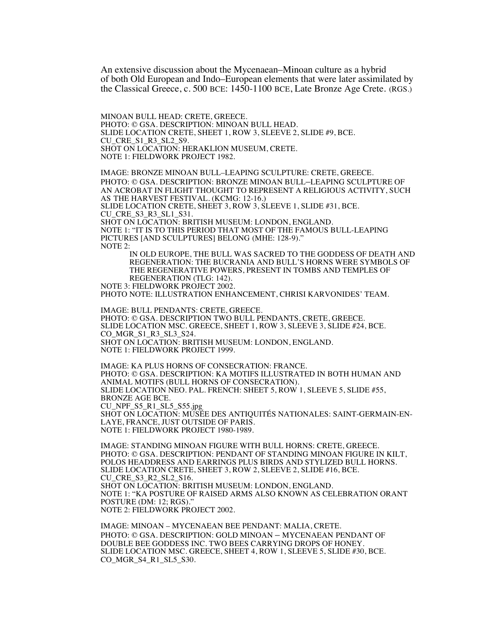An extensive discussion about the Mycenaean–Minoan culture as a hybrid of both Old European and Indo–European elements that were later assimilated by the Classical Greece, c. 500 BCE: 1450-1100 BCE, Late Bronze Age Crete. (RGS.)

MINOAN BULL HEAD: CRETE, GREECE. PHOTO: © GSA. DESCRIPTION: MINOAN BULL HEAD. SLIDE LOCATION CRETE, SHEET 1, ROW 3, SLEEVE 2, SLIDE #9, BCE. CU\_CRE\_S1\_R3\_SL2\_S9. SHOT ON LOCATION: HERAKLION MUSEUM, CRETE. NOTE 1: FIELDWORK PROJECT 1982.

IMAGE: BRONZE MINOAN BULL–LEAPING SCULPTURE: CRETE, GREECE. PHOTO: © GSA. DESCRIPTION: BRONZE MINOAN BULL–LEAPING SCULPTURE OF AN ACROBAT IN FLIGHT THOUGHT TO REPRESENT A RELIGIOUS ACTIVITY, SUCH AS THE HARVEST FESTIVAL. (KCMG: 12-16.) SLIDE LOCATION CRETE, SHEET 3, ROW 3, SLEEVE 1, SLIDE #31, BCE. CU\_CRE\_S3\_R3\_SL1\_S31. SHOT ON LOCATION: BRITISH MUSEUM: LONDON, ENGLAND. NOTE 1: "IT IS TO THIS PERIOD THAT MOST OF THE FAMOUS BULL-LEAPING PICTURES [AND SCULPTURES] BELONG (MHE: 128-9)." NOTE 2: IN OLD EUROPE, THE BULL WAS SACRED TO THE GODDESS OF DEATH AND REGENERATION: THE BUCRANIA AND BULL'S HORNS WERE SYMBOLS OF THE REGENERATIVE POWERS, PRESENT IN TOMBS AND TEMPLES OF REGENERATION (TLG: 142). NOTE 3: FIELDWORK PROJECT 2002. PHOTO NOTE: ILLUSTRATION ENHANCEMENT, CHRISI KARVONIDES' TEAM. IMAGE: BULL PENDANTS: CRETE, GREECE. PHOTO: © GSA. DESCRIPTION TWO BULL PENDANTS, CRETE, GREECE. SLIDE LOCATION MSC. GREECE, SHEET 1, ROW 3, SLEEVE 3, SLIDE #24, BCE. CO\_MGR\_S1\_R3\_SL3\_S24. SHOT ON LOCATION: BRITISH MUSEUM: LONDON, ENGLAND. NOTE 1: FIELDWORK PROJECT 1999. IMAGE: KA PLUS HORNS OF CONSECRATION: FRANCE.

PHOTO: © GSA. DESCRIPTION: KA MOTIFS ILLUSTRATED IN BOTH HUMAN AND ANIMAL MOTIFS (BULL HORNS OF CONSECRATION). SLIDE LOCATION NEO. PAL. FRENCH: SHEET 5, ROW 1, SLEEVE 5, SLIDE #55, BRONZE AGE BCE. CU\_NPF\_S5\_R1\_SL5\_S55.jpg SHOT ON LOCATION: MUSÉE DES ANTIQUITÉS NATIONALES: SAINT-GERMAIN-EN-LAYE, FRANCE, JUST OUTSIDE OF PARIS. NOTE 1: FIELDWORK PROJECT 1980-1989.

IMAGE: STANDING MINOAN FIGURE WITH BULL HORNS: CRETE, GREECE. PHOTO: © GSA. DESCRIPTION: PENDANT OF STANDING MINOAN FIGURE IN KILT, POLOS HEADDRESS AND EARRINGS PLUS BIRDS AND STYLIZED BULL HORNS. SLIDE LOCATION CRETE, SHEET 3, ROW 2, SLEEVE 2, SLIDE #16, BCE. CU\_CRE\_S3\_R2\_SL2\_S16. SHOT ON LOCATION: BRITISH MUSEUM: LONDON, ENGLAND. NOTE 1: "KA POSTURE OF RAISED ARMS ALSO KNOWN AS CELEBRATION ORANT POSTURE (DM: 12; RGS)." NOTE 2: FIELDWORK PROJECT 2002.

IMAGE: MINOAN – MYCENAEAN BEE PENDANT: MALIA, CRETE. PHOTO: © GSA. DESCRIPTION: GOLD MINOAN – MYCENAEAN PENDANT OF DOUBLE BEE GODDESS INC. TWO BEES CARRYING DROPS OF HONEY. SLIDE LOCATION MSC. GREECE, SHEET 4, ROW 1, SLEEVE 5, SLIDE #30, BCE. CO\_MGR\_S4\_R1\_SL5\_S30.